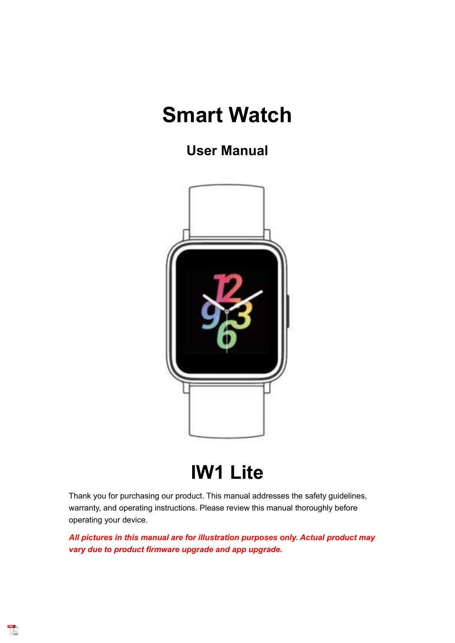# **Smart Watch**

**User Manual**



# **IW1 Lite**

Thank you for purchasing our product. This manual addresses the safety guidelines, warranty, and operating instructions. Please review this manual thoroughly before operating your device.

*All pictures in this manual are for illustration purposes only. Actual product may vary due to product firmware upgrade and app upgrade.*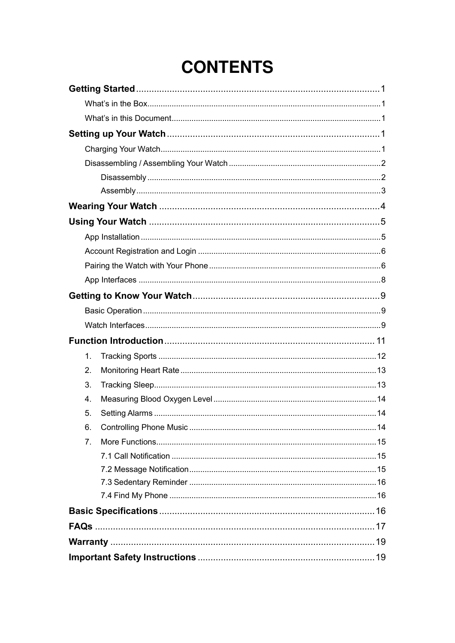# **CONTENTS**

|  | $\mathbf{1}$ . |  |
|--|----------------|--|
|  | 2.             |  |
|  | 3.             |  |
|  | 4.             |  |
|  | 5.             |  |
|  | 6.             |  |
|  | 7 <sub>1</sub> |  |
|  |                |  |
|  |                |  |
|  |                |  |
|  |                |  |
|  |                |  |
|  |                |  |
|  |                |  |
|  |                |  |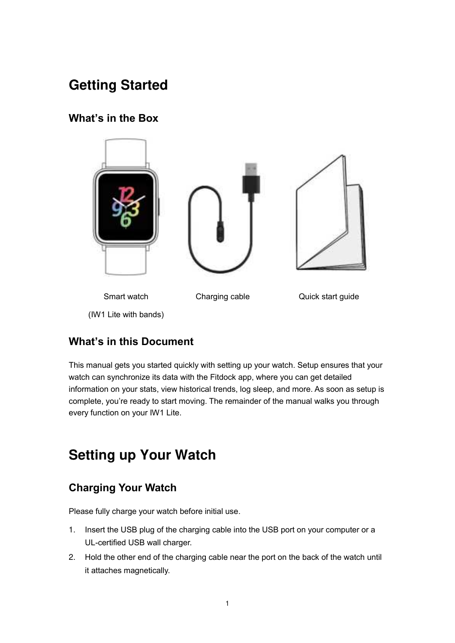# <span id="page-2-0"></span>**Getting Started**

## <span id="page-2-1"></span>**What's in the Box**



## <span id="page-2-2"></span>**What's in this Document**

This manual gets you started quickly with setting up your watch. Setup ensures that your watch can synchronize its data with the Fitdock app, where you can get detailed information on your stats, view historical trends, log sleep, and more. As soon as setup is complete, you're ready to start moving. The remainder of the manual walks you through every function on your IW1 Lite.

## <span id="page-2-3"></span>**Setting up Your Watch**

## <span id="page-2-4"></span>**Charging Your Watch**

Please fully charge your watch before initial use.

- 1. Insert the USB plug of the charging cable into the USB port on your computer or a UL-certified USB wall charger.
- 2. Hold the other end of the charging cable near the port on the back of the watch until it attaches magnetically.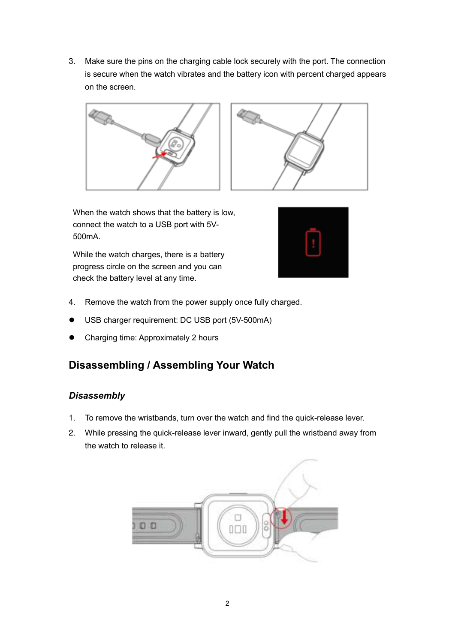3. Make sure the pins on the charging cable lock securely with the port. The connection is secure when the watch vibrates and the battery icon with percent charged appears on the screen.





When the watch shows that the battery is low, connect the watch to a USB port with 5V-500mA.

While the watch charges, there is a battery progress circle on the screen and you can check the battery level at any time.



- 4. Remove the watch from the power supply once fully charged.
- USB charger requirement: DC USB port (5V-500mA)
- Charging time: Approximately 2 hours

## <span id="page-3-0"></span>**Disassembling / Assembling Your Watch**

## <span id="page-3-1"></span>*Disassembly*

- 1. To remove the wristbands, turn over the watch and find the quick-release lever.
- 2. While pressing the quick-release lever inward, gently pull the wristband away from the watch to release it.

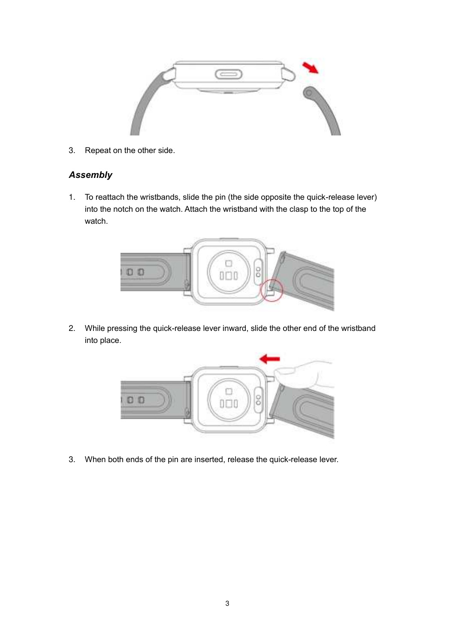

3. Repeat on the other side.

## <span id="page-4-0"></span>*Assembly*

1. To reattach the wristbands, slide the pin (the side opposite the quick-release lever) into the notch on the watch. Attach the wristband with the clasp to the top of the watch.



2. While pressing the quick-release lever inward, slide the other end of the wristband into place.



3. When both ends of the pin are inserted, release the quick-release lever.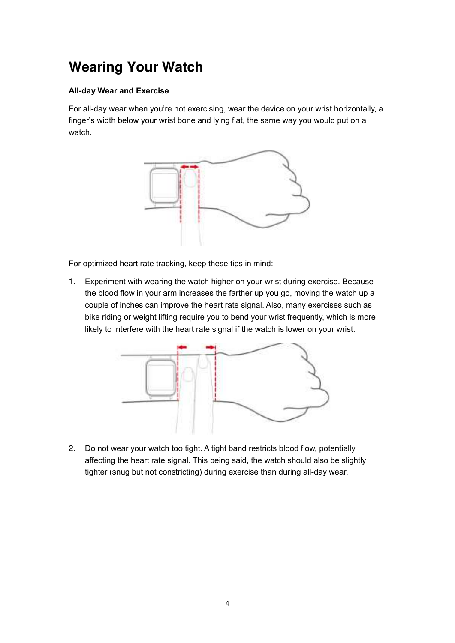# <span id="page-5-0"></span>**Wearing Your Watch**

#### **All-day Wear and Exercise**

For all-day wear when you're not exercising, wear the device on your wrist horizontally, a finger's width below your wrist bone and lying flat, the same way you would put on a watch.



For optimized heart rate tracking, keep these tips in mind:

1. Experiment with wearing the watch higher on your wrist during exercise. Because the blood flow in your arm increases the farther up you go, moving the watch up a couple of inches can improve the heart rate signal. Also, many exercises such as bike riding or weight lifting require you to bend your wrist frequently, which is more likely to interfere with the heart rate signal if the watch is lower on your wrist.

<span id="page-5-1"></span>

2. Do not wear your watch too tight. A tight band restricts blood flow, potentially affecting the heart rate signal. This being said, the watch should also be slightly tighter (snug but not constricting) during exercise than during all-day wear.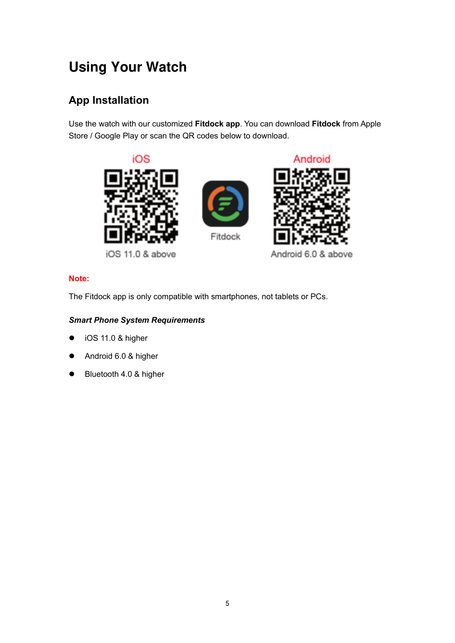# **Using Your Watch**

## <span id="page-6-0"></span>**App Installation**

Use the watch with our customized **Fitdock app**. You can download **Fitdock** from Apple Store / Google Play or scan the QR codes below to download.



iOS 11.0 & above

Android 6.0 & above

#### **Note:**

The Fitdock app is only compatible with smartphones, not tablets or PCs.

#### *Smart Phone System Requirements*

- iOS 11.0 & higher
- Android 6.0 & higher
- <span id="page-6-1"></span>● Bluetooth 4.0 & higher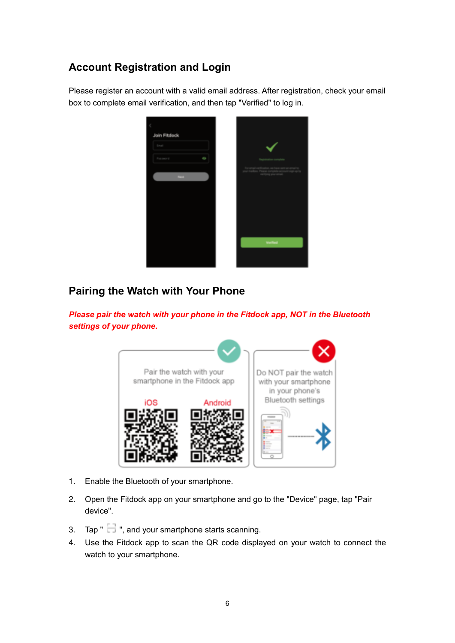## **Account Registration and Login**

Please register an account with a valid email address. After registration, check your email box to complete email verification, and then tap "Verified" to log in.



## <span id="page-7-0"></span>**Pairing the Watch with Your Phone**



*Please pair the watch with your phone in the Fitdock app, NOT in the Bluetooth settings of your phone.*

- 1. Enable the Bluetooth of your smartphone.
- 2. Open the Fitdock app on your smartphone and go to the "Device" page, tap "Pair device".
- 3. Tap  $\mathbb{T}$  , and your smartphone starts scanning.
- 4. Use the Fitdock app to scan the QR code displayed on your watch to connect the watch to your smartphone.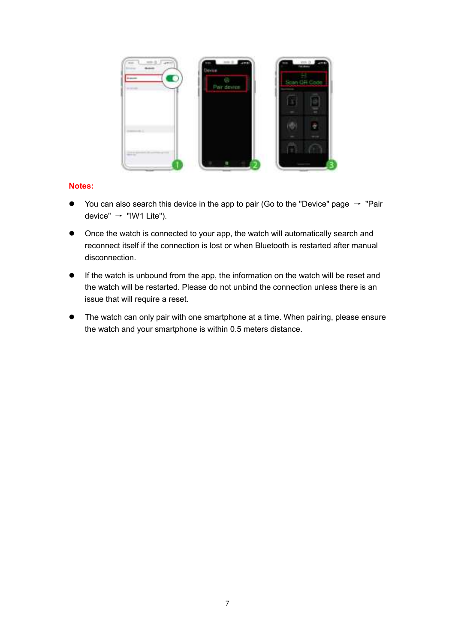

#### **Notes:**

- $\bullet$  You can also search this device in the app to pair (Go to the "Device" page  $\rightarrow$  "Pair device"  $\rightarrow$  "IW1 Lite").
- Once the watch is connected to your app, the watch will automatically search and reconnect itself if the connection is lost or when Bluetooth is restarted after manual disconnection.
- If the watch is unbound from the app, the information on the watch will be reset and the watch will be restarted. Please do not unbind the connection unless there is an issue that will require a reset.
- <span id="page-8-0"></span> The watch can only pair with one smartphone at a time. When pairing, please ensure the watch and your smartphone is within 0.5 meters distance.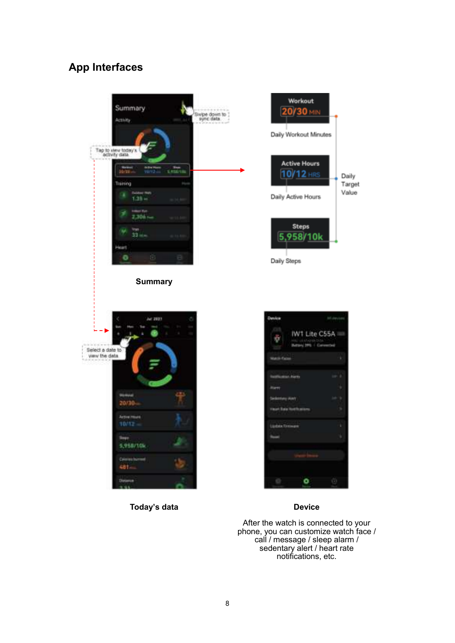## **App Interfaces**



**Today's data Device**

After the watch is connected to your phone, you can customize watch face / call / message / sleep alarm / sedentary alert / heart rate notifications, etc.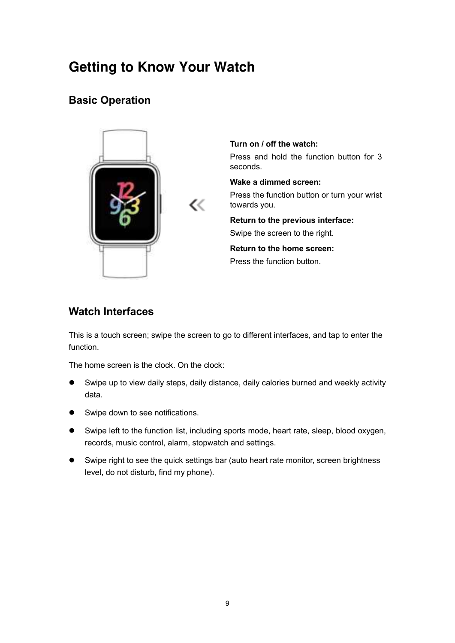## <span id="page-10-0"></span>**Getting to Know Your Watch**

## <span id="page-10-1"></span>**Basic Operation**



**Turn on / off the watch:** Press and hold the function button for 3 seconds.

**Wake a dimmed screen:** Press the function button or turn your wrist towards you.

**Return to the previous interface:** Swipe the screen to the right.

**Return to the home screen:** Press the function button.

## <span id="page-10-2"></span>**Watch Interfaces**

This is a touch screen; swipe the screen to go to different interfaces, and tap to enter the function.

The home screen is the clock. On the clock:

- Swipe up to view daily steps, daily distance, daily calories burned and weekly activity data.
- Swipe down to see notifications.
- Swipe left to the function list, including sports mode, heart rate, sleep, blood oxygen, records, music control, alarm, stopwatch and settings.
- Swipe right to see the quick settings bar (auto heart rate monitor, screen brightness level, do not disturb, find my phone).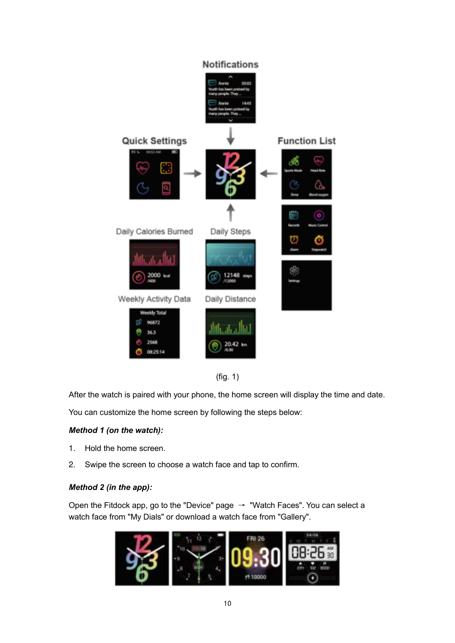



After the watch is paired with your phone, the home screen will display the time and date.

You can customize the home screen by following the steps below:

#### *Method 1 (on the watch):*

- 1. Hold the home screen.
- 2. Swipe the screen to choose a watch face and tap to confirm.

#### *Method 2 (in the app):*

Open the Fitdock app, go to the "Device" page  $\rightarrow$  "Watch Faces". You can select a watch face from "My Dials" or download a watch face from "Gallery".

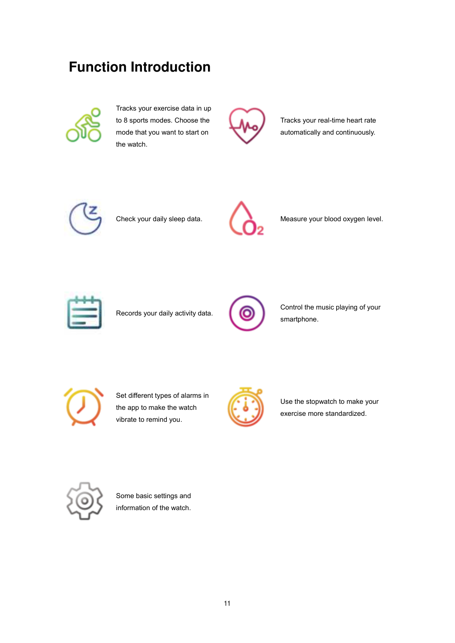# <span id="page-12-0"></span>**Function Introduction**



Tracks your exercise data in up to 8 sports modes. Choose the mode that you want to start on the watch.



Tracks your real-time heart rate automatically and continuously.





Check your daily sleep data. Measure your blood oxygen level.



Records your daily activity data.



Control the music playing of your smartphone.



Set different types of alarms in the app to make the watch vibrate to remind you.



Use the stopwatch to make your exercise more standardized.



Some basic settings and information of the watch.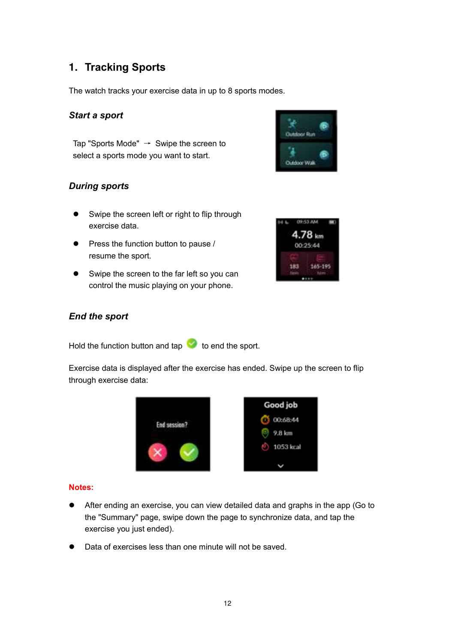## <span id="page-13-0"></span>**1. Tracking Sports**

The watch tracks your exercise data in up to 8 sports modes.

#### *Start a sport*

Tap "Sports Mode"  $\rightarrow$  Swipe the screen to select a sports mode you want to start.

# ÷ **Outdoor Run** Outdoor Wal

### *During sports*

- Swipe the screen left or right to flip through exercise data.
- $\bullet$  Press the function button to pause / resume the sport.
- Swipe the screen to the far left so you can control the music playing on your phone.



#### *End the sport*

Hold the function button and tap  $\blacktriangleright$  to end the sport.

Exercise data is displayed after the exercise has ended. Swipe up the screen to flip through exercise data:



#### **Notes:**

- After ending an exercise, you can view detailed data and graphs in the app (Go to the "Summary" page, swipe down the page to synchronize data, and tap the exercise you just ended).
- Data of exercises less than one minute will not be saved.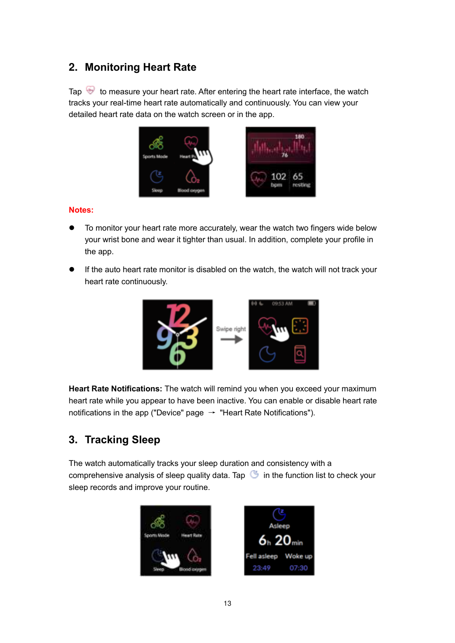## <span id="page-14-0"></span>**2. Monitoring Heart Rate**

Tap  $\bigoplus$  to measure your heart rate. After entering the heart rate interface, the watch tracks your real-time heart rate automatically and continuously. You can view your detailed heart rate data on the watch screen or in the app.



#### **Notes:**

- To monitor your heart rate more accurately, wear the watch two fingers wide below your wrist bone and wear it tighter than usual. In addition, complete your profile in the app.
- If the auto heart rate monitor is disabled on the watch, the watch will not track your heart rate continuously.



**Heart Rate Notifications:** The watch will remind you when you exceed your maximum heart rate while you appear to have been inactive. You can enable or disable heart rate notifications in the app ("Device" page  $\rightarrow$  "Heart Rate Notifications").

## <span id="page-14-1"></span>**3. Tracking Sleep**

The watch automatically tracks your sleep duration and consistency with a comprehensive analysis of sleep quality data. Tap  $\bullet$  in the function list to check your sleep records and improve your routine.



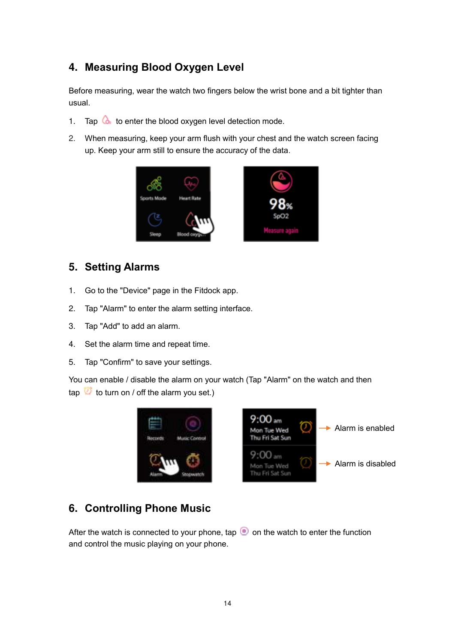## <span id="page-15-0"></span>**4. Measuring Blood Oxygen Level**

Before measuring, wear the watch two fingers below the wrist bone and a bit tighter than usual.

- 1. Tap  $\mathbf{\hat{a}}$  to enter the blood oxygen level detection mode.
- 2. When measuring, keep your arm flush with your chest and the watch screen facing up. Keep your arm still to ensure the accuracy of the data.



## <span id="page-15-1"></span>**5. Setting Alarms**

- 1. Go to the "Device" page in the Fitdock app.
- 2. Tap "Alarm" to enter the alarm setting interface.
- 3. Tap "Add" to add an alarm.
- 4. Set the alarm time and repeat time.
- 5. Tap "Confirm" to save your settings.

You can enable / disable the alarm on your watch (Tap "Alarm" on the watch and then tap  $\overline{w}$  to turn on / off the alarm you set.)



## <span id="page-15-2"></span>**6. Controlling Phone Music**

After the watch is connected to your phone, tap  $\bullet$  on the watch to enter the function and control the music playing on your phone.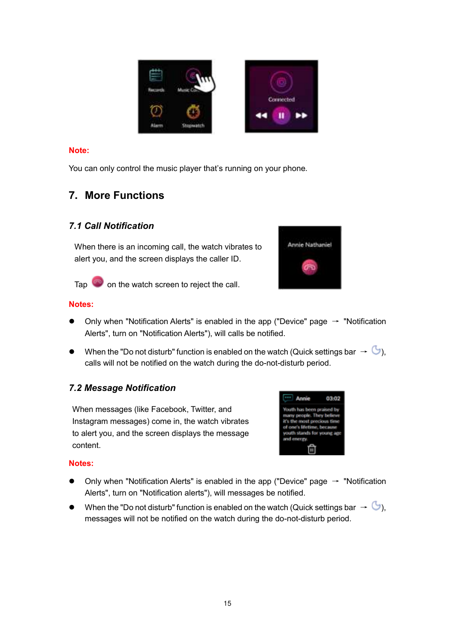

#### **Note:**

You can only control the music player that's running on your phone.

## <span id="page-16-0"></span>**7. More Functions**

### <span id="page-16-1"></span>*7.1 Call Notification*

When there is an incoming call, the watch vibrates to alert you, and the screen displays the caller ID.





Tap on the watch screen to reject the call.

#### **Notes:**

- $\bullet$  Only when "Notification Alerts" is enabled in the app ("Device" page  $\rightarrow$  "Notification Alerts", turn on "Notification Alerts"), will calls be notified.
- When the "Do not disturb" function is enabled on the watch (Quick settings bar  $\rightarrow \mathbb{G}$ ), calls will not be notified on the watch during the do-not-disturb period.

## <span id="page-16-2"></span>*7.2 Message Notification*

When messages (like Facebook, Twitter, and Instagram messages) come in, the watch vibrates to alert you, and the screen displays the message content.

#### <span id="page-16-3"></span>Annie 03:02 Youth has been praised by toph . They b most prec s tim **because** uret as

#### **Notes:**

- $\bullet$  Only when "Notification Alerts" is enabled in the app ("Device" page  $\rightarrow$  "Notification Alerts", turn on "Notification alerts"), will messages be notified.
- $\bullet$  When the "Do not disturb" function is enabled on the watch (Quick settings bar  $\rightarrow \mathbb{G}$ ), messages will not be notified on the watch during the do-not-disturb period.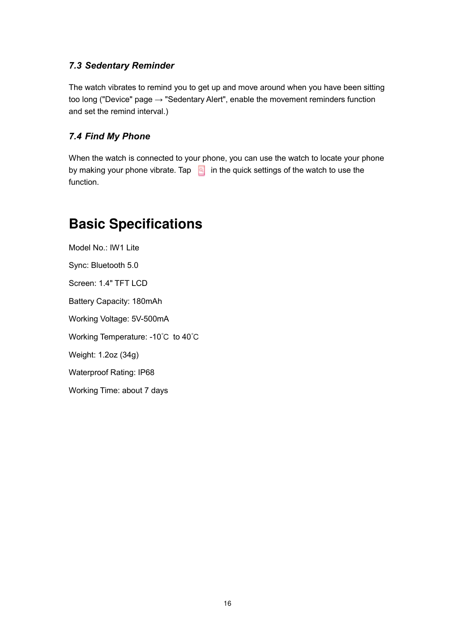### *7.3 Sedentary Reminder*

The watch vibrates to remind you to get up and move around when you have been sitting too long ("Device" page  $\rightarrow$  "Sedentary Alert", enable the movement reminders function and set the remind interval.)

### <span id="page-17-0"></span>*7.4 Find My Phone*

When the watch is connected to your phone, you can use the watch to locate your phone by making your phone vibrate. Tap  $\boxed{9}$  in the quick settings of the watch to use the function.

## <span id="page-17-1"></span>**Basic Specifications**

<span id="page-17-2"></span>Model No.: IW1 Lite Sync: Bluetooth 5.0 Screen: 1.4" TFT LCD Battery Capacity: 180mAh Working Voltage: 5V-500mA Working Temperature: -10℃ to 40℃ Weight: 1.2oz (34g) Waterproof Rating: IP68 Working Time: about 7 days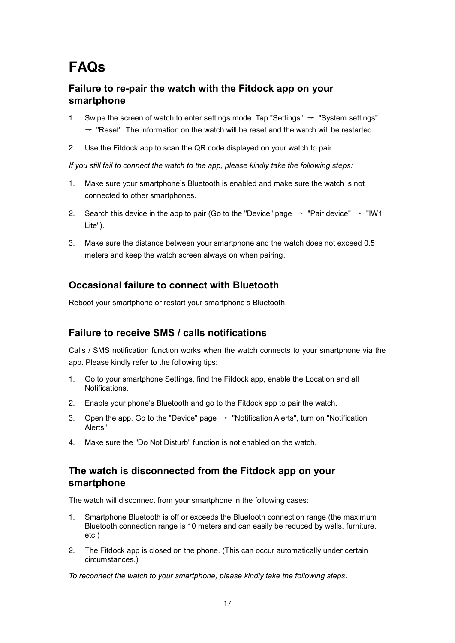# **FAQs**

## **Failure to re-pair the watch with the Fitdock app on your smartphone**

- 1. Swipe the screen of watch to enter settings mode. Tap "Settings"  $\rightarrow$  "System settings"  $\rightarrow$  "Reset". The information on the watch will be reset and the watch will be restarted.
- 2. Use the Fitdock app to scan the QR code displayed on your watch to pair.

*If you still fail to connect the watch to the app, please kindly take the following steps:*

- 1. Make sure your smartphone's Bluetooth is enabled and make sure the watch is not connected to other smartphones.
- 2. Search this device in the app to pair (Go to the "Device" page  $\rightarrow$  "Pair device"  $\rightarrow$  "IW1 Lite").
- 3. Make sure the distance between your smartphone and the watch does not exceed 0.5 meters and keep the watch screen always on when pairing.

## **Occasional failure to connect with Bluetooth**

Reboot your smartphone or restart your smartphone's Bluetooth.

## **Failure to receive SMS / calls notifications**

Calls / SMS notification function works when the watch connects to your smartphone via the app. Please kindly refer to the following tips:

- 1. Go to your smartphone Settings, find the Fitdock app, enable the Location and all Notifications.
- 2. Enable your phone's Bluetooth and go to the Fitdock app to pair the watch.
- 3. Open the app. Go to the "Device" page  $\rightarrow$  "Notification Alerts", turn on "Notification Alerts".
- 4. Make sure the "Do Not Disturb" function is not enabled on the watch.

### **The watch is disconnected from the Fitdock app on your smartphone**

The watch will disconnect from your smartphone in the following cases:

- 1. Smartphone Bluetooth is off or exceeds the Bluetooth connection range (the maximum Bluetooth connection range is 10 meters and can easily be reduced by walls, furniture, etc.)
- 2. The Fitdock app is closed on the phone. (This can occur automatically under certain circumstances.)

*To reconnect the watch to your smartphone, please kindly take the following steps:*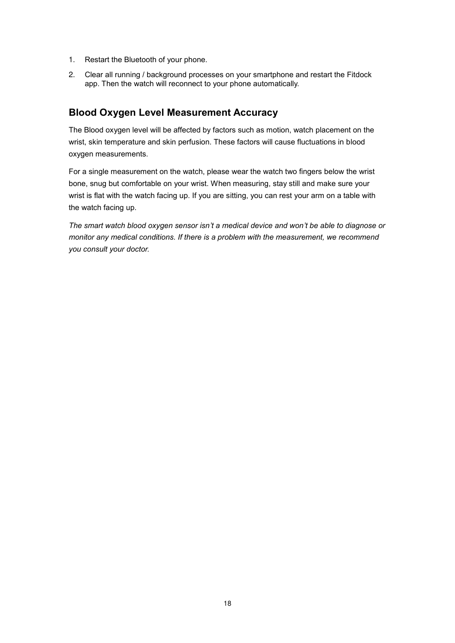- 1. Restart the Bluetooth of your phone.
- 2. Clear all running / background processes on your smartphone and restart the Fitdock app. Then the watch will reconnect to your phone automatically.

## **Blood Oxygen Level Measurement Accuracy**

The Blood oxygen level will be affected by factors such as motion, watch placement on the wrist, skin temperature and skin perfusion. These factors will cause fluctuations in blood oxygen measurements.

For a single measurement on the watch, please wear the watch two fingers below the wrist bone, snug but comfortable on your wrist. When measuring, stay still and make sure your wrist is flat with the watch facing up. If you are sitting, you can rest your arm on a table with the watch facing up.

*The smart watch blood oxygen sensor isn't a medical device and won't be able to diagnose or monitor any medical conditions. If there is a problem with the measurement, we recommend you consult your doctor.*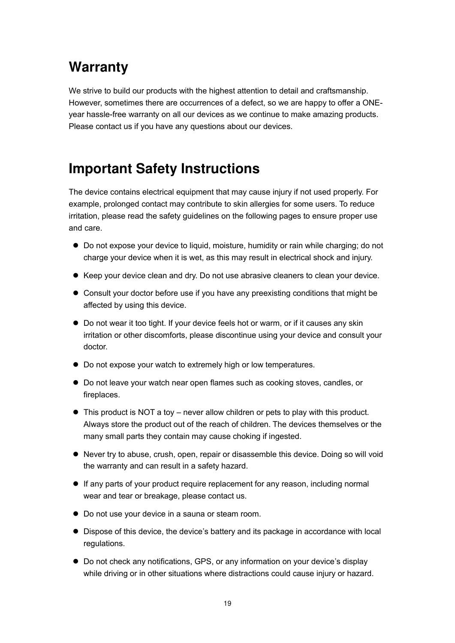# <span id="page-20-0"></span>**Warranty**

We strive to build our products with the highest attention to detail and craftsmanship. However, sometimes there are occurrences of a defect, so we are happy to offer a ONEyear hassle-free warranty on all our devices as we continue to make amazing products. Please contact us if you have any questions about our devices.

## <span id="page-20-1"></span>**Important Safety Instructions**

The device contains electrical equipment that may cause injury if not used properly. For example, prolonged contact may contribute to skin allergies for some users. To reduce irritation, please read the safety guidelines on the following pages to ensure proper use and care.

- Do not expose your device to liquid, moisture, humidity or rain while charging; do not charge your device when it is wet, as this may result in electrical shock and injury.
- Keep your device clean and dry. Do not use abrasive cleaners to clean your device.
- Consult your doctor before use if you have any preexisting conditions that might be affected by using this device.
- Do not wear it too tight. If your device feels hot or warm, or if it causes any skin irritation or other discomforts, please discontinue using your device and consult your doctor.
- $\bullet$  Do not expose your watch to extremely high or low temperatures.
- Do not leave your watch near open flames such as cooking stoves, candles, or fireplaces.
- This product is NOT a toy never allow children or pets to play with this product. Always store the product out of the reach of children. The devices themselves or the many small parts they contain may cause choking if ingested.
- Never try to abuse, crush, open, repair or disassemble this device. Doing so will void the warranty and can result in a safety hazard.
- If any parts of your product require replacement for any reason, including normal wear and tear or breakage, please contact us.
- Do not use your device in a sauna or steam room.
- Dispose of this device, the device's battery and its package in accordance with local regulations.
- Do not check any notifications, GPS, or any information on your device's display while driving or in other situations where distractions could cause injury or hazard.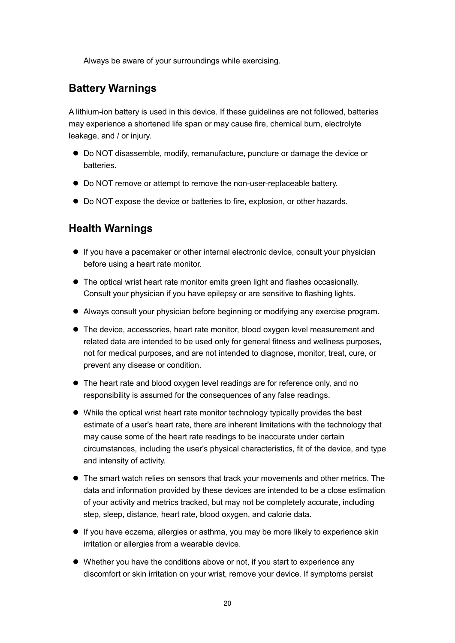Always be aware of your surroundings while exercising.

## **Battery Warnings**

A lithium-ion battery is used in this device. If these guidelines are not followed, batteries may experience a shortened life span or may cause fire, chemical burn, electrolyte leakage, and / or injury.

- Do NOT disassemble, modify, remanufacture, puncture or damage the device or **batteries**
- Do NOT remove or attempt to remove the non-user-replaceable battery.
- Do NOT expose the device or batteries to fire, explosion, or other hazards.

## **Health Warnings**

- If you have a pacemaker or other internal electronic device, consult your physician before using a heart rate monitor.
- The optical wrist heart rate monitor emits green light and flashes occasionally. Consult your physician if you have epilepsy or are sensitive to flashing lights.
- Always consult your physician before beginning or modifying any exercise program.
- The device, accessories, heart rate monitor, blood oxygen level measurement and related data are intended to be used only for general fitness and wellness purposes, not for medical purposes, and are not intended to diagnose, monitor, treat, cure, or prevent any disease or condition.
- The heart rate and blood oxygen level readings are for reference only, and no responsibility is assumed for the consequences of any false readings.
- While the optical wrist heart rate monitor technology typically provides the best estimate of a user's heart rate, there are inherent limitations with the technology that may cause some of the heart rate readings to be inaccurate under certain circumstances, including the user's physical characteristics, fit of the device, and type and intensity of activity.
- The smart watch relies on sensors that track your movements and other metrics. The data and information provided by these devices are intended to be a close estimation of your activity and metrics tracked, but may not be completely accurate, including step, sleep, distance, heart rate, blood oxygen, and calorie data.
- If you have eczema, allergies or asthma, you may be more likely to experience skin irritation or allergies from a wearable device.
- Whether you have the conditions above or not, if you start to experience any discomfort or skin irritation on your wrist, remove your device. If symptoms persist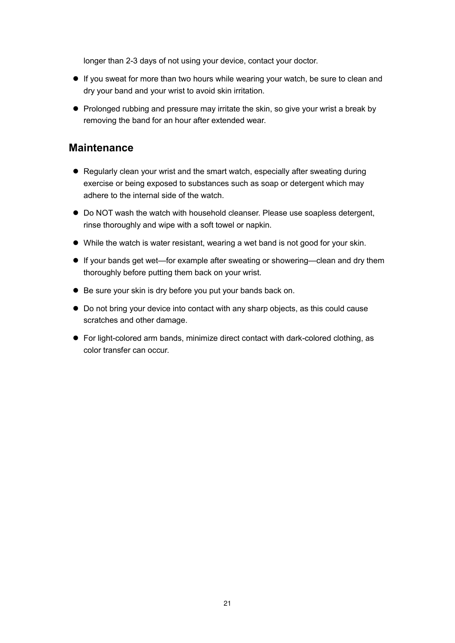longer than 2-3 days of not using your device, contact your doctor.

- If you sweat for more than two hours while wearing your watch, be sure to clean and dry your band and your wrist to avoid skin irritation.
- Prolonged rubbing and pressure may irritate the skin, so give your wrist a break by removing the band for an hour after extended wear.

## **Maintenance**

- Regularly clean your wrist and the smart watch, especially after sweating during exercise or being exposed to substances such as soap or detergent which may adhere to the internal side of the watch.
- Do NOT wash the watch with household cleanser. Please use soapless detergent, rinse thoroughly and wipe with a soft towel or napkin.
- While the watch is water resistant, wearing a wet band is not good for your skin.
- If your bands get wet—for example after sweating or showering—clean and dry them thoroughly before putting them back on your wrist.
- Be sure your skin is dry before you put your bands back on.
- Do not bring your device into contact with any sharp objects, as this could cause scratches and other damage.
- For light-colored arm bands, minimize direct contact with dark-colored clothing, as color transfer can occur.